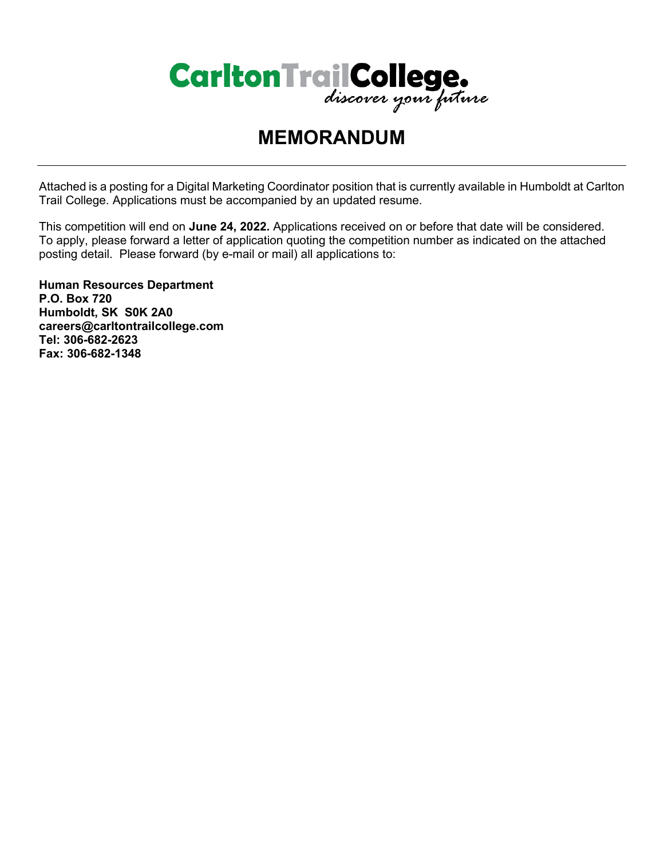

# **MEMORANDUM**

Attached is a posting for a Digital Marketing Coordinator position that is currently available in Humboldt at Carlton Trail College. Applications must be accompanied by an updated resume.

This competition will end on **June 24, 2022.** Applications received on or before that date will be considered. To apply, please forward a letter of application quoting the competition number as indicated on the attached posting detail. Please forward (by e-mail or mail) all applications to:

**Human Resources Department P.O. Box 720 Humboldt, SK S0K 2A0 careers@carltontrailcollege.com Tel: 306-682-2623 Fax: 306-682-1348**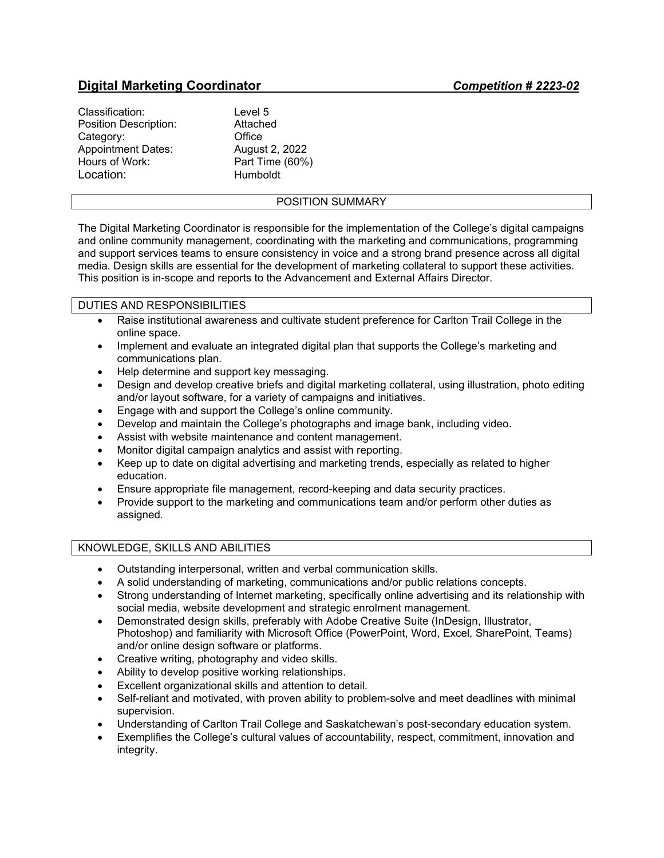## **Digital Marketing Coordinator** *Competition # 2223-02*

| Classification:           | Level 5         |
|---------------------------|-----------------|
| Position Description:     | Attached        |
| Category:                 | Office          |
| <b>Appointment Dates:</b> | August 2, 2022  |
| Hours of Work:            | Part Time (60%) |
| Location:                 | Humboldt        |

#### POSITION SUMMARY

The Digital Marketing Coordinator is responsible for the implementation of the College's digital campaigns and online community management, coordinating with the marketing and communications, programming and support services teams to ensure consistency in voice and a strong brand presence across all digital media. Design skills are essential for the development of marketing collateral to support these activities. This position is in-scope and reports to the Advancement and External Affairs Director.

#### DUTIES AND RESPONSIBILITIES

- Raise institutional awareness and cultivate student preference for Carlton Trail College in the online space.
- Implement and evaluate an integrated digital plan that supports the College's marketing and communications plan.
- Help determine and support key messaging.
- Design and develop creative briefs and digital marketing collateral, using illustration, photo editing and/or layout software, for a variety of campaigns and initiatives.
- Engage with and support the College's online community.
- Develop and maintain the College's photographs and image bank, including video.
- Assist with website maintenance and content management.
- Monitor digital campaign analytics and assist with reporting.
- Keep up to date on digital advertising and marketing trends, especially as related to higher education.
- Ensure appropriate file management, record-keeping and data security practices.
- Provide support to the marketing and communications team and/or perform other duties as assigned.

#### KNOWLEDGE, SKILLS AND ABILITIES

- Outstanding interpersonal, written and verbal communication skills.
- A solid understanding of marketing, communications and/or public relations concepts.
- Strong understanding of Internet marketing, specifically online advertising and its relationship with social media, website development and strategic enrolment management.
- Demonstrated design skills, preferably with Adobe Creative Suite (InDesign, Illustrator, Photoshop) and familiarity with Microsoft Office (PowerPoint, Word, Excel, SharePoint, Teams) and/or online design software or platforms.
- Creative writing, photography and video skills.
- Ability to develop positive working relationships.
- Excellent organizational skills and attention to detail.
- Self-reliant and motivated, with proven ability to problem-solve and meet deadlines with minimal supervision.
- Understanding of Carlton Trail College and Saskatchewan's post-secondary education system.
- Exemplifies the College's cultural values of accountability, respect, commitment, innovation and integrity.